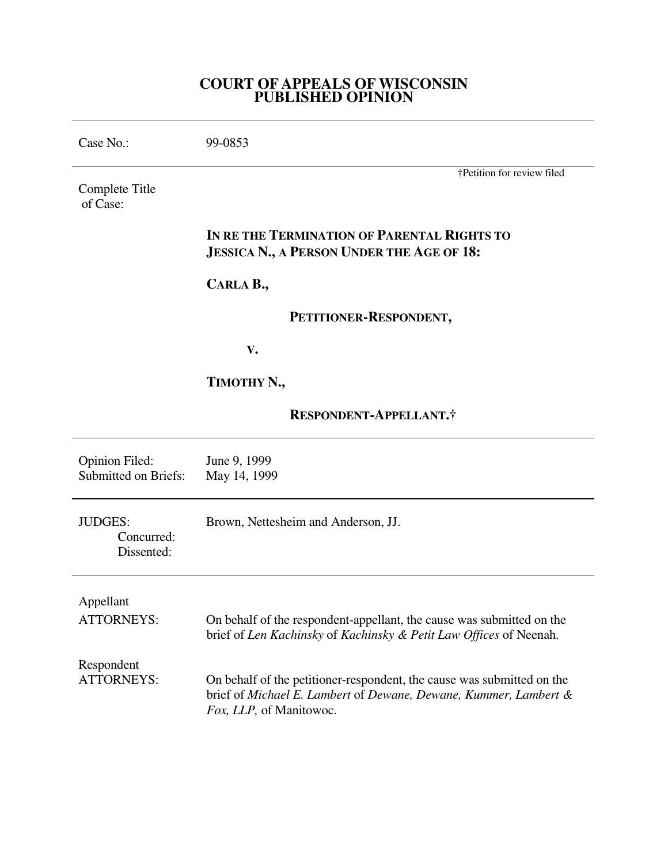## **COURT OF APPEALS OF WISCONSIN PUBLISHED OPINION**

| Case No.:                                            | 99-0853                                                                                                                                                               |
|------------------------------------------------------|-----------------------------------------------------------------------------------------------------------------------------------------------------------------------|
| Complete Title<br>of Case:                           | †Petition for review filed                                                                                                                                            |
|                                                      | IN RE THE TERMINATION OF PARENTAL RIGHTS TO<br><b>JESSICA N., A PERSON UNDER THE AGE OF 18:</b>                                                                       |
|                                                      | CARLA B.,                                                                                                                                                             |
|                                                      | PETITIONER-RESPONDENT,                                                                                                                                                |
|                                                      | V.                                                                                                                                                                    |
|                                                      | TIMOTHY N.,                                                                                                                                                           |
|                                                      | RESPONDENT-APPELLANT.†                                                                                                                                                |
| <b>Opinion Filed:</b><br><b>Submitted on Briefs:</b> | June 9, 1999<br>May 14, 1999                                                                                                                                          |
| <b>JUDGES:</b><br>Concurred:<br>Dissented:           | Brown, Nettesheim and Anderson, JJ.                                                                                                                                   |
| Appellant<br><b>ATTORNEYS:</b>                       | On behalf of the respondent-appellant, the cause was submitted on the<br>brief of Len Kachinsky of Kachinsky & Petit Law Offices of Neenah.                           |
| Respondent<br><b>ATTORNEYS:</b>                      | On behalf of the petitioner-respondent, the cause was submitted on the<br>brief of Michael E. Lambert of Dewane, Dewane, Kummer, Lambert &<br>Fox, LLP, of Manitowoc. |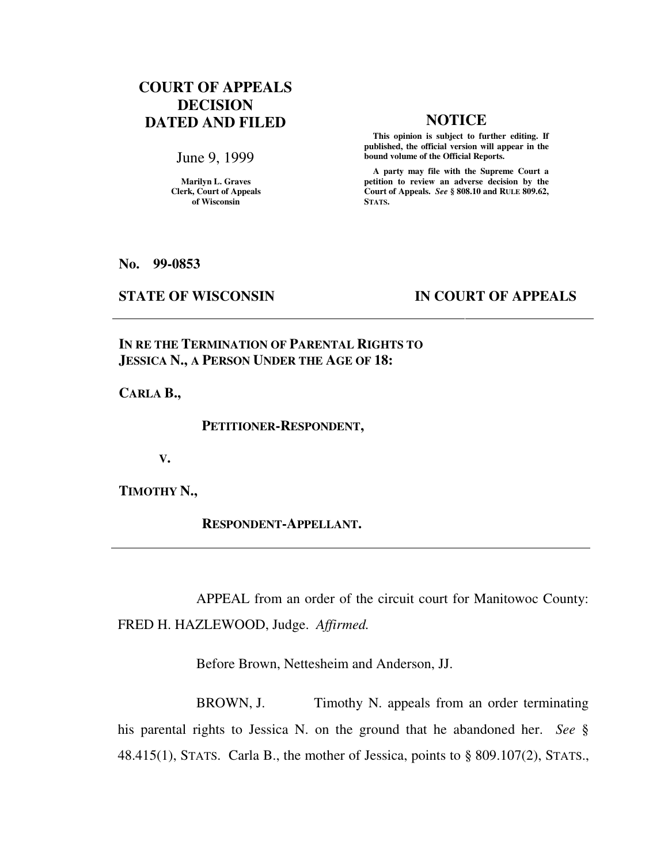# **COURT OF APPEALS DECISION DATED AND FILED NOTICE**

June 9, 1999

**Marilyn L. Graves Clerk, Court of Appeals of Wisconsin** 

 **This opinion is subject to further editing. If published, the official version will appear in the bound volume of the Official Reports.**

 **A party may file with the Supreme Court a petition to review an adverse decision by the Court of Appeals.** *See* **§ 808.10 and RULE 809.62, STATS.** 

**No. 99-0853** 

## **STATE OF WISCONSIN IN COURT OF APPEALS**

**IN RE THE TERMINATION OF PARENTAL RIGHTS TO JESSICA N., A PERSON UNDER THE AGE OF 18:** 

**CARLA B.,** 

 **PETITIONER-RESPONDENT,** 

 **V.** 

**TIMOTHY N.,** 

 **RESPONDENT-APPELLANT.** 

 APPEAL from an order of the circuit court for Manitowoc County: FRED H. HAZLEWOOD, Judge. *Affirmed.*

Before Brown, Nettesheim and Anderson, JJ.

BROWN, J. Timothy N. appeals from an order terminating his parental rights to Jessica N. on the ground that he abandoned her. *See* § 48.415(1), STATS. Carla B., the mother of Jessica, points to § 809.107(2), STATS.,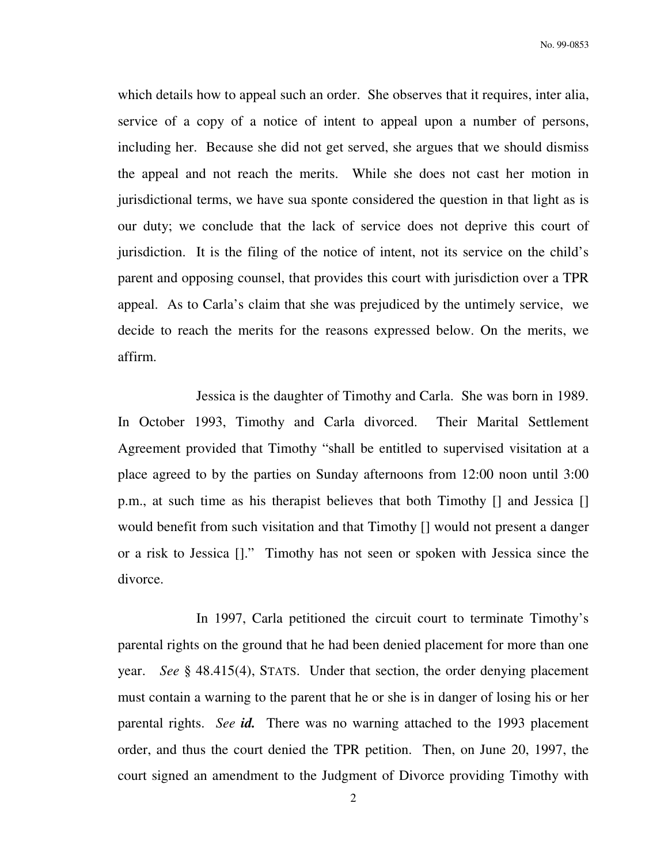which details how to appeal such an order. She observes that it requires, inter alia, service of a copy of a notice of intent to appeal upon a number of persons, including her. Because she did not get served, she argues that we should dismiss the appeal and not reach the merits. While she does not cast her motion in jurisdictional terms, we have sua sponte considered the question in that light as is our duty; we conclude that the lack of service does not deprive this court of jurisdiction. It is the filing of the notice of intent, not its service on the child's parent and opposing counsel, that provides this court with jurisdiction over a TPR appeal. As to Carla's claim that she was prejudiced by the untimely service, we decide to reach the merits for the reasons expressed below. On the merits, we affirm.

 Jessica is the daughter of Timothy and Carla. She was born in 1989. In October 1993, Timothy and Carla divorced. Their Marital Settlement Agreement provided that Timothy "shall be entitled to supervised visitation at a place agreed to by the parties on Sunday afternoons from 12:00 noon until 3:00 p.m., at such time as his therapist believes that both Timothy [] and Jessica [] would benefit from such visitation and that Timothy [] would not present a danger or a risk to Jessica []." Timothy has not seen or spoken with Jessica since the divorce.

 In 1997, Carla petitioned the circuit court to terminate Timothy's parental rights on the ground that he had been denied placement for more than one year. *See* § 48.415(4), STATS. Under that section, the order denying placement must contain a warning to the parent that he or she is in danger of losing his or her parental rights. *See id.* There was no warning attached to the 1993 placement order, and thus the court denied the TPR petition. Then, on June 20, 1997, the court signed an amendment to the Judgment of Divorce providing Timothy with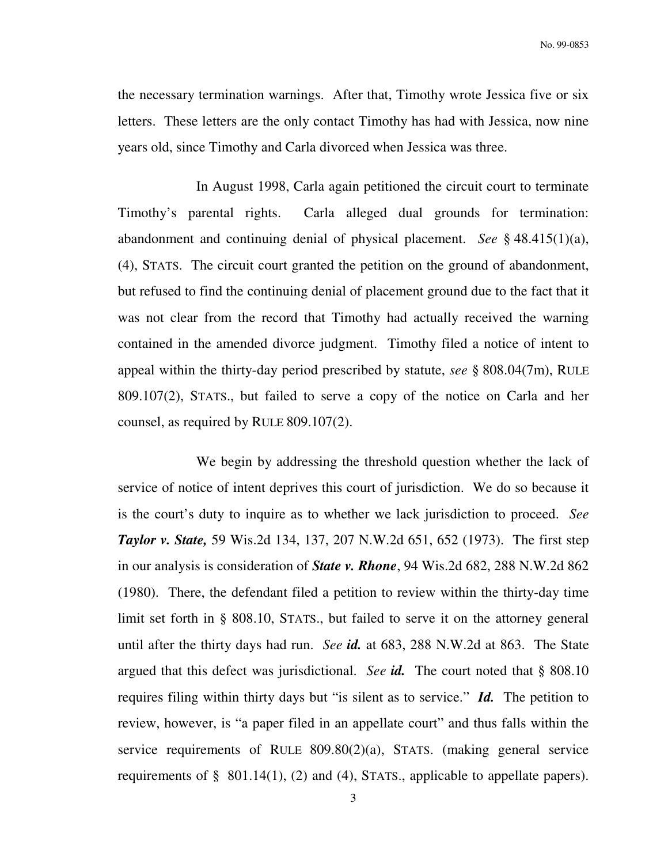the necessary termination warnings. After that, Timothy wrote Jessica five or six letters. These letters are the only contact Timothy has had with Jessica, now nine years old, since Timothy and Carla divorced when Jessica was three.

 In August 1998, Carla again petitioned the circuit court to terminate Timothy's parental rights. Carla alleged dual grounds for termination: abandonment and continuing denial of physical placement. *See* § 48.415(1)(a), (4), STATS. The circuit court granted the petition on the ground of abandonment, but refused to find the continuing denial of placement ground due to the fact that it was not clear from the record that Timothy had actually received the warning contained in the amended divorce judgment. Timothy filed a notice of intent to appeal within the thirty-day period prescribed by statute, *see* § 808.04(7m), RULE 809.107(2), STATS., but failed to serve a copy of the notice on Carla and her counsel, as required by RULE 809.107(2).

 We begin by addressing the threshold question whether the lack of service of notice of intent deprives this court of jurisdiction. We do so because it is the court's duty to inquire as to whether we lack jurisdiction to proceed. *See Taylor v. State,* 59 Wis.2d 134, 137, 207 N.W.2d 651, 652 (1973). The first step in our analysis is consideration of *State v. Rhone*, 94 Wis.2d 682, 288 N.W.2d 862 (1980). There, the defendant filed a petition to review within the thirty-day time limit set forth in § 808.10, STATS., but failed to serve it on the attorney general until after the thirty days had run. *See id.* at 683, 288 N.W.2d at 863. The State argued that this defect was jurisdictional. *See id.* The court noted that § 808.10 requires filing within thirty days but "is silent as to service." *Id.* The petition to review, however, is "a paper filed in an appellate court" and thus falls within the service requirements of RULE 809.80(2)(a), STATS. (making general service requirements of § 801.14(1), (2) and (4), STATS., applicable to appellate papers).

3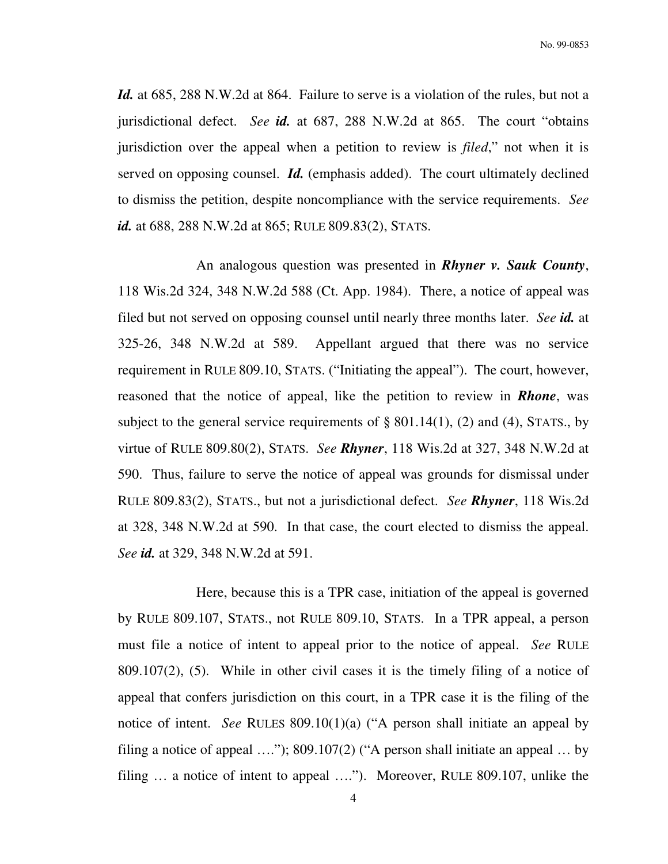*Id.* at 685, 288 N.W.2d at 864. Failure to serve is a violation of the rules, but not a jurisdictional defect. *See id.* at 687, 288 N.W.2d at 865. The court "obtains jurisdiction over the appeal when a petition to review is *filed*," not when it is served on opposing counsel. *Id.* (emphasis added). The court ultimately declined to dismiss the petition, despite noncompliance with the service requirements. *See id.* at 688, 288 N.W.2d at 865; RULE 809.83(2), STATS.

 An analogous question was presented in *Rhyner v. Sauk County*, 118 Wis.2d 324, 348 N.W.2d 588 (Ct. App. 1984). There, a notice of appeal was filed but not served on opposing counsel until nearly three months later. *See id.* at 325-26, 348 N.W.2d at 589. Appellant argued that there was no service requirement in RULE 809.10, STATS. ("Initiating the appeal"). The court, however, reasoned that the notice of appeal, like the petition to review in *Rhone*, was subject to the general service requirements of  $\S$  801.14(1), (2) and (4), STATS., by virtue of RULE 809.80(2), STATS. *See Rhyner*, 118 Wis.2d at 327, 348 N.W.2d at 590. Thus, failure to serve the notice of appeal was grounds for dismissal under RULE 809.83(2), STATS., but not a jurisdictional defect. *See Rhyner*, 118 Wis.2d at 328, 348 N.W.2d at 590. In that case, the court elected to dismiss the appeal. *See id.* at 329, 348 N.W.2d at 591.

 Here, because this is a TPR case, initiation of the appeal is governed by RULE 809.107, STATS., not RULE 809.10, STATS. In a TPR appeal, a person must file a notice of intent to appeal prior to the notice of appeal. *See* RULE 809.107(2), (5). While in other civil cases it is the timely filing of a notice of appeal that confers jurisdiction on this court, in a TPR case it is the filing of the notice of intent. *See* RULES 809.10(1)(a) ("A person shall initiate an appeal by filing a notice of appeal …."); 809.107(2) ("A person shall initiate an appeal … by filing … a notice of intent to appeal …."). Moreover, RULE 809.107, unlike the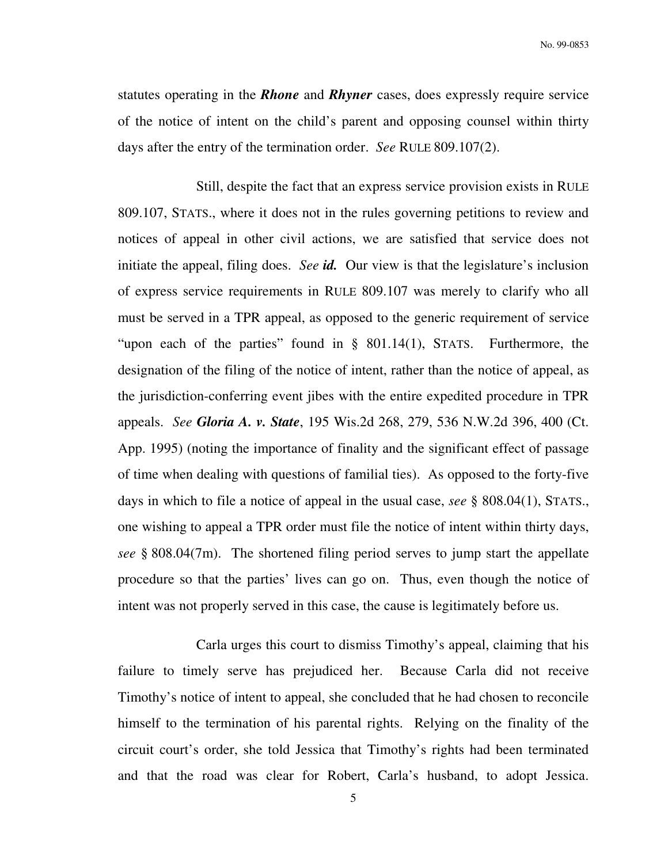statutes operating in the *Rhone* and *Rhyner* cases, does expressly require service of the notice of intent on the child's parent and opposing counsel within thirty days after the entry of the termination order. *See* RULE 809.107(2).

 Still, despite the fact that an express service provision exists in RULE 809.107, STATS., where it does not in the rules governing petitions to review and notices of appeal in other civil actions, we are satisfied that service does not initiate the appeal, filing does. *See id.* Our view is that the legislature's inclusion of express service requirements in RULE 809.107 was merely to clarify who all must be served in a TPR appeal, as opposed to the generic requirement of service "upon each of the parties" found in § 801.14(1), STATS. Furthermore, the designation of the filing of the notice of intent, rather than the notice of appeal, as the jurisdiction-conferring event jibes with the entire expedited procedure in TPR appeals. *See Gloria A. v. State*, 195 Wis.2d 268, 279, 536 N.W.2d 396, 400 (Ct. App. 1995) (noting the importance of finality and the significant effect of passage of time when dealing with questions of familial ties). As opposed to the forty-five days in which to file a notice of appeal in the usual case, *see* § 808.04(1), STATS., one wishing to appeal a TPR order must file the notice of intent within thirty days, *see* § 808.04(7m). The shortened filing period serves to jump start the appellate procedure so that the parties' lives can go on. Thus, even though the notice of intent was not properly served in this case, the cause is legitimately before us.

 Carla urges this court to dismiss Timothy's appeal, claiming that his failure to timely serve has prejudiced her. Because Carla did not receive Timothy's notice of intent to appeal, she concluded that he had chosen to reconcile himself to the termination of his parental rights. Relying on the finality of the circuit court's order, she told Jessica that Timothy's rights had been terminated and that the road was clear for Robert, Carla's husband, to adopt Jessica.

5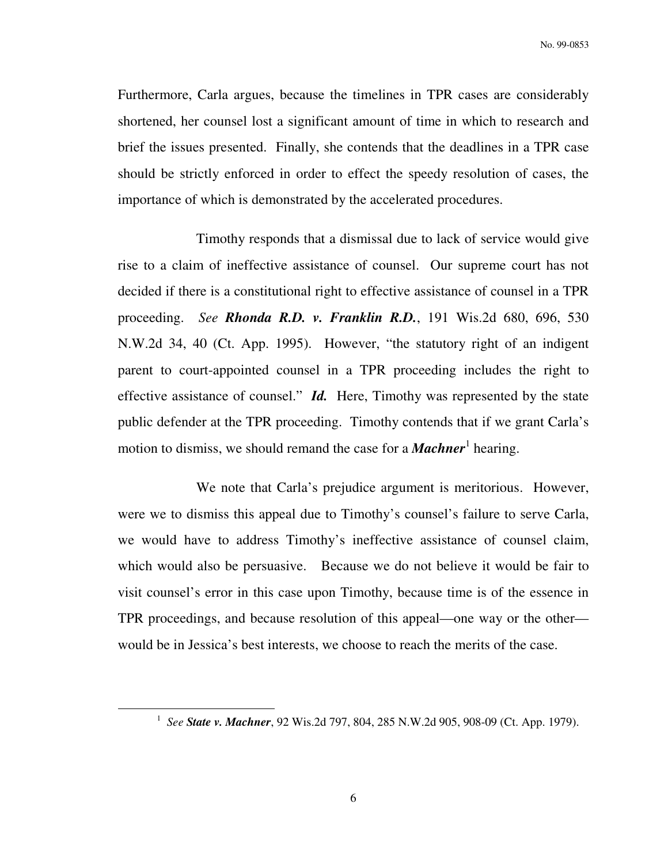Furthermore, Carla argues, because the timelines in TPR cases are considerably shortened, her counsel lost a significant amount of time in which to research and brief the issues presented. Finally, she contends that the deadlines in a TPR case should be strictly enforced in order to effect the speedy resolution of cases, the importance of which is demonstrated by the accelerated procedures.

 Timothy responds that a dismissal due to lack of service would give rise to a claim of ineffective assistance of counsel. Our supreme court has not decided if there is a constitutional right to effective assistance of counsel in a TPR proceeding. *See Rhonda R.D. v. Franklin R.D.*, 191 Wis.2d 680, 696, 530 N.W.2d 34, 40 (Ct. App. 1995). However, "the statutory right of an indigent parent to court-appointed counsel in a TPR proceeding includes the right to effective assistance of counsel." *Id.* Here, Timothy was represented by the state public defender at the TPR proceeding. Timothy contends that if we grant Carla's motion to dismiss, we should remand the case for a *Machner*<sup>1</sup> hearing.

 We note that Carla's prejudice argument is meritorious. However, were we to dismiss this appeal due to Timothy's counsel's failure to serve Carla, we would have to address Timothy's ineffective assistance of counsel claim, which would also be persuasive. Because we do not believe it would be fair to visit counsel's error in this case upon Timothy, because time is of the essence in TPR proceedings, and because resolution of this appeal—one way or the other would be in Jessica's best interests, we choose to reach the merits of the case.

 $\overline{a}$ 

<sup>1</sup> *See State v. Machner*, 92 Wis.2d 797, 804, 285 N.W.2d 905, 908-09 (Ct. App. 1979).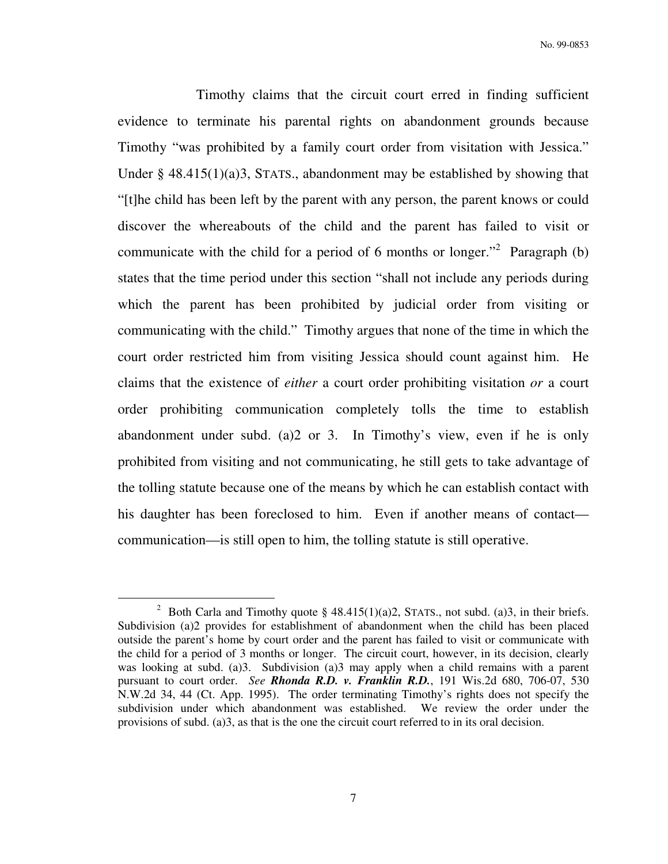Timothy claims that the circuit court erred in finding sufficient evidence to terminate his parental rights on abandonment grounds because Timothy "was prohibited by a family court order from visitation with Jessica." Under  $\S$  48.415(1)(a)3, STATS., abandonment may be established by showing that "[t]he child has been left by the parent with any person, the parent knows or could discover the whereabouts of the child and the parent has failed to visit or communicate with the child for a period of 6 months or longer."<sup>2</sup> Paragraph (b) states that the time period under this section "shall not include any periods during which the parent has been prohibited by judicial order from visiting or communicating with the child." Timothy argues that none of the time in which the court order restricted him from visiting Jessica should count against him. He claims that the existence of *either* a court order prohibiting visitation *or* a court order prohibiting communication completely tolls the time to establish abandonment under subd. (a)2 or 3. In Timothy's view, even if he is only prohibited from visiting and not communicating, he still gets to take advantage of the tolling statute because one of the means by which he can establish contact with his daughter has been foreclosed to him. Even if another means of contact communication—is still open to him, the tolling statute is still operative.

 $\overline{a}$ 

<sup>&</sup>lt;sup>2</sup> Both Carla and Timothy quote § 48.415(1)(a)2, STATS., not subd. (a)3, in their briefs. Subdivision (a)2 provides for establishment of abandonment when the child has been placed outside the parent's home by court order and the parent has failed to visit or communicate with the child for a period of 3 months or longer. The circuit court, however, in its decision, clearly was looking at subd. (a)3. Subdivision (a)3 may apply when a child remains with a parent pursuant to court order. *See Rhonda R.D. v. Franklin R.D.*, 191 Wis.2d 680, 706-07, 530 N.W.2d 34, 44 (Ct. App. 1995). The order terminating Timothy's rights does not specify the subdivision under which abandonment was established. We review the order under the provisions of subd. (a)3, as that is the one the circuit court referred to in its oral decision.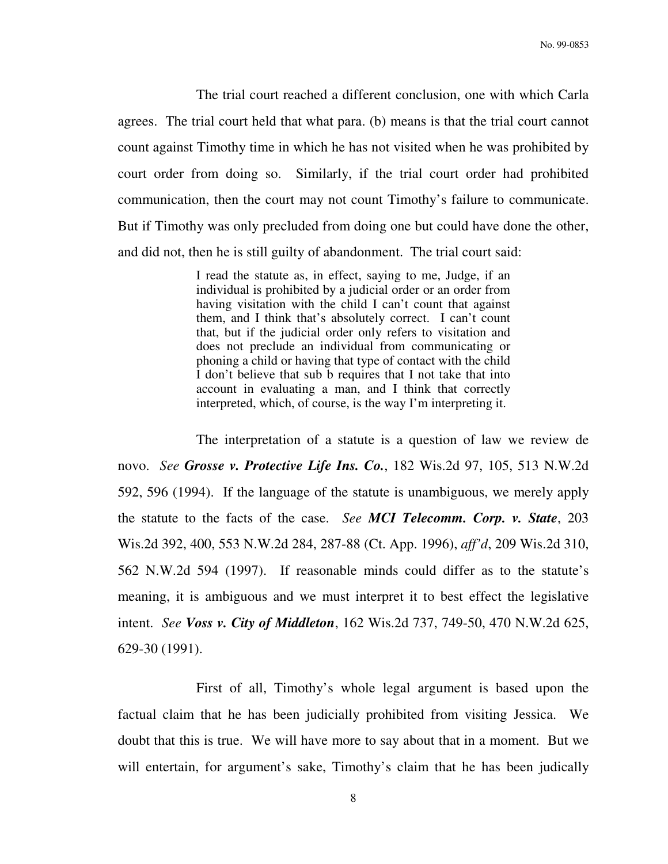The trial court reached a different conclusion, one with which Carla agrees. The trial court held that what para. (b) means is that the trial court cannot count against Timothy time in which he has not visited when he was prohibited by court order from doing so. Similarly, if the trial court order had prohibited communication, then the court may not count Timothy's failure to communicate. But if Timothy was only precluded from doing one but could have done the other, and did not, then he is still guilty of abandonment. The trial court said:

> I read the statute as, in effect, saying to me, Judge, if an individual is prohibited by a judicial order or an order from having visitation with the child I can't count that against them, and I think that's absolutely correct. I can't count that, but if the judicial order only refers to visitation and does not preclude an individual from communicating or phoning a child or having that type of contact with the child I don't believe that sub b requires that I not take that into account in evaluating a man, and I think that correctly interpreted, which, of course, is the way I'm interpreting it.

 The interpretation of a statute is a question of law we review de novo. *See Grosse v. Protective Life Ins. Co.*, 182 Wis.2d 97, 105, 513 N.W.2d 592, 596 (1994). If the language of the statute is unambiguous, we merely apply the statute to the facts of the case. *See MCI Telecomm. Corp. v. State*, 203 Wis.2d 392, 400, 553 N.W.2d 284, 287-88 (Ct. App. 1996), *aff'd*, 209 Wis.2d 310, 562 N.W.2d 594 (1997). If reasonable minds could differ as to the statute's meaning, it is ambiguous and we must interpret it to best effect the legislative intent. *See Voss v. City of Middleton*, 162 Wis.2d 737, 749-50, 470 N.W.2d 625, 629-30 (1991).

 First of all, Timothy's whole legal argument is based upon the factual claim that he has been judicially prohibited from visiting Jessica. We doubt that this is true. We will have more to say about that in a moment. But we will entertain, for argument's sake, Timothy's claim that he has been judically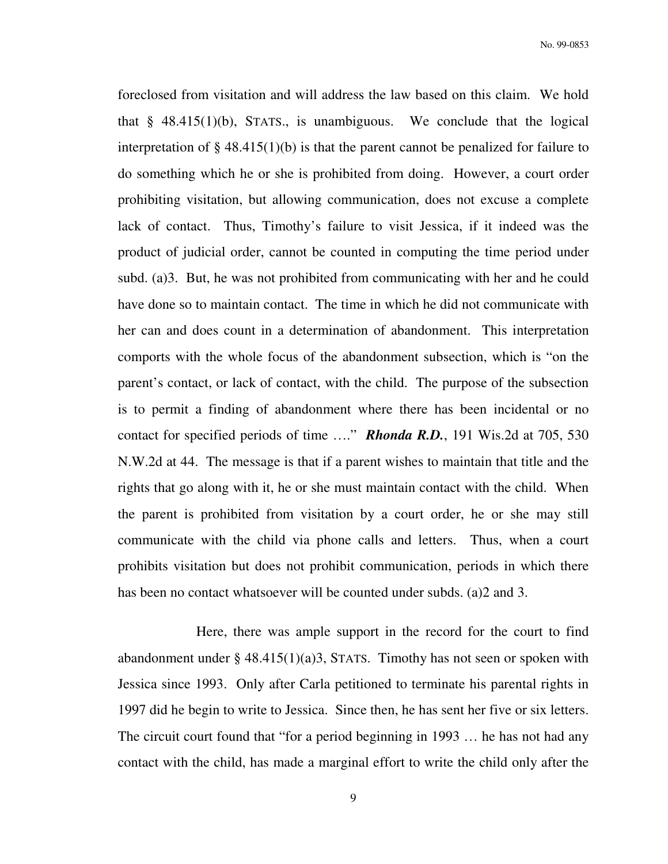foreclosed from visitation and will address the law based on this claim. We hold that  $§$  48.415(1)(b), STATS., is unambiguous. We conclude that the logical interpretation of  $\S$  48.415(1)(b) is that the parent cannot be penalized for failure to do something which he or she is prohibited from doing. However, a court order prohibiting visitation, but allowing communication, does not excuse a complete lack of contact. Thus, Timothy's failure to visit Jessica, if it indeed was the product of judicial order, cannot be counted in computing the time period under subd. (a)3. But, he was not prohibited from communicating with her and he could have done so to maintain contact. The time in which he did not communicate with her can and does count in a determination of abandonment. This interpretation comports with the whole focus of the abandonment subsection, which is "on the parent's contact, or lack of contact, with the child. The purpose of the subsection is to permit a finding of abandonment where there has been incidental or no contact for specified periods of time …." *Rhonda R.D.*, 191 Wis.2d at 705, 530 N.W.2d at 44. The message is that if a parent wishes to maintain that title and the rights that go along with it, he or she must maintain contact with the child. When the parent is prohibited from visitation by a court order, he or she may still communicate with the child via phone calls and letters. Thus, when a court prohibits visitation but does not prohibit communication, periods in which there has been no contact whatsoever will be counted under subds. (a)2 and 3.

 Here, there was ample support in the record for the court to find abandonment under  $\S$  48.415(1)(a)3, STATS. Timothy has not seen or spoken with Jessica since 1993. Only after Carla petitioned to terminate his parental rights in 1997 did he begin to write to Jessica. Since then, he has sent her five or six letters. The circuit court found that "for a period beginning in 1993 … he has not had any contact with the child, has made a marginal effort to write the child only after the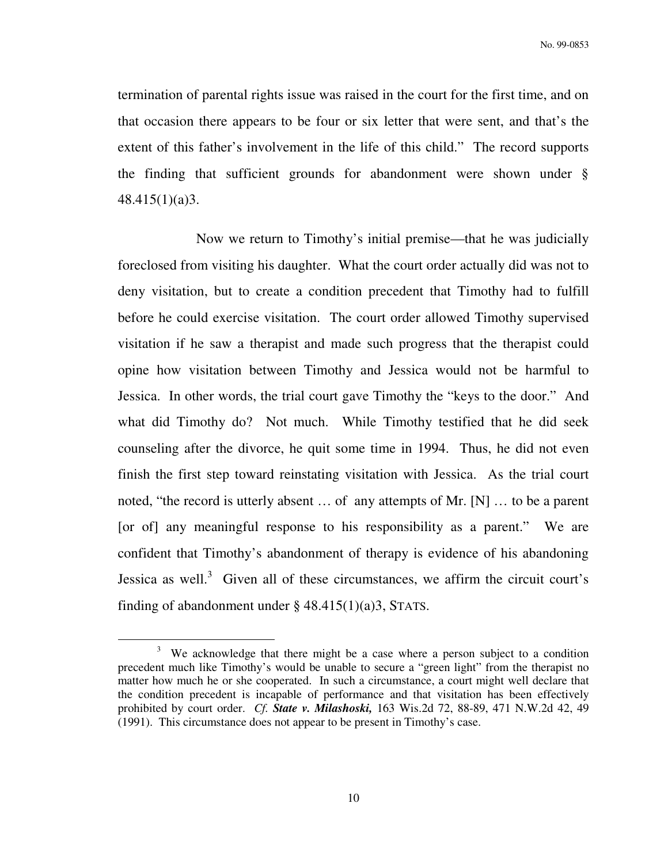termination of parental rights issue was raised in the court for the first time, and on that occasion there appears to be four or six letter that were sent, and that's the extent of this father's involvement in the life of this child." The record supports the finding that sufficient grounds for abandonment were shown under § 48.415(1)(a)3.

 Now we return to Timothy's initial premise—that he was judicially foreclosed from visiting his daughter. What the court order actually did was not to deny visitation, but to create a condition precedent that Timothy had to fulfill before he could exercise visitation. The court order allowed Timothy supervised visitation if he saw a therapist and made such progress that the therapist could opine how visitation between Timothy and Jessica would not be harmful to Jessica. In other words, the trial court gave Timothy the "keys to the door." And what did Timothy do? Not much. While Timothy testified that he did seek counseling after the divorce, he quit some time in 1994. Thus, he did not even finish the first step toward reinstating visitation with Jessica. As the trial court noted, "the record is utterly absent … of any attempts of Mr. [N] … to be a parent [or of] any meaningful response to his responsibility as a parent." We are confident that Timothy's abandonment of therapy is evidence of his abandoning Jessica as well.<sup>3</sup> Given all of these circumstances, we affirm the circuit court's finding of abandonment under  $\S$  48.415(1)(a)3, STATS.

 $\overline{a}$ 

 $3$  We acknowledge that there might be a case where a person subject to a condition precedent much like Timothy's would be unable to secure a "green light" from the therapist no matter how much he or she cooperated. In such a circumstance, a court might well declare that the condition precedent is incapable of performance and that visitation has been effectively prohibited by court order. *Cf. State v. Milashoski,* 163 Wis.2d 72, 88-89, 471 N.W.2d 42, 49 (1991). This circumstance does not appear to be present in Timothy's case.